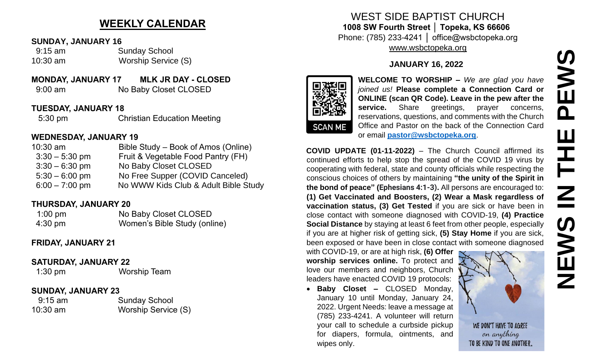# **WEEKLY CALENDAR**

#### **SUNDAY, JANUARY 16**

 9:15 am Sunday School 10:30 am Worship Service (S)

# **MONDAY, JANUARY 17 MLK JR DAY - CLOSED**

9:00 am No Baby Closet CLOSED

#### **TUESDAY, JANUARY 18**

5:30 pm Christian Education Meeting

## **WEDNESDAY, JANUARY 19**

| $10:30$ am       | Bible Study – Book of Amos (Online)  |
|------------------|--------------------------------------|
| $3:30 - 5:30$ pm | Fruit & Vegetable Food Pantry (FH)   |
| $3:30 - 6:30$ pm | No Baby Closet CLOSED                |
| $5:30 - 6:00$ pm | No Free Supper (COVID Canceled)      |
| $6:00 - 7:00$ pm | No WWW Kids Club & Adult Bible Study |

### **THURSDAY, JANUARY 20**

| $1:00$ pm         | No Baby Closet CLOSED        |
|-------------------|------------------------------|
| $4:30 \text{ pm}$ | Women's Bible Study (online) |

### **FRIDAY, JANUARY 21**

### **SATURDAY, JANUARY 22**

1:30 pm Worship Team

# **SUNDAY, JANUARY 23**

| $9:15$ am  | <b>Sunday School</b>       |
|------------|----------------------------|
| $10:30$ am | <b>Worship Service (S)</b> |

# WEST SIDE BAPTIST CHURCH **1008 SW Fourth Street │ Topeka, KS 66606** Phone: (785) 233-4241 │ office@wsbctopeka.org [www.wsbctopeka.org](http://www.wsbctopeka.org/)

## **JANUARY 16, 2022**



**WELCOME TO WORSHIP –** *We are glad you have joined us!* **Please complete a Connection Card or ONLINE (scan QR Code). Leave in the pew after the service.** Share greetings, prayer concerns, reservations, questions, and comments with the Church Office and Pastor on the back of the Connection Card or email **[pastor@wsbctopeka.org](mailto:pastor@wsbctopeka.org)**.

**COVID UPDATE (01-11-2022)** – The Church Council affirmed its continued efforts to help stop the spread of the COVID 19 virus by cooperating with federal, state and county officials while respecting the conscious choices of others by maintaining **"the unity of the Spirit in the bond of peace" (Ephesians 4:1-3).** All persons are encouraged to: **(1) Get Vaccinated and Boosters, (2) Wear a Mask regardless of vaccination status, (3) Get Tested** if you are sick or have been in close contact with someone diagnosed with COVID-19, **(4) Practice Social Distance** by staying at least 6 feet from other people, especially if you are at higher risk of getting sick, **(5) Stay Home** if you are sick, been exposed or have been in close contact with someone diagnosed

with COVID-19, or are at high risk, **(6) Offer worship services online.** To protect and love our members and neighbors, Church leaders have enacted COVID 19 protocols:

• **Baby Closet –** CLOSED Monday, January 10 until Monday, January 24, 2022. Urgent Needs: leave a message at (785) 233-4241. A volunteer will return your call to schedule a curbside pickup for diapers, formula, ointments, and wipes only.



WE DON'T HAVE TO AGREE on anything TO BE KIND TO ONE ANOTHER.